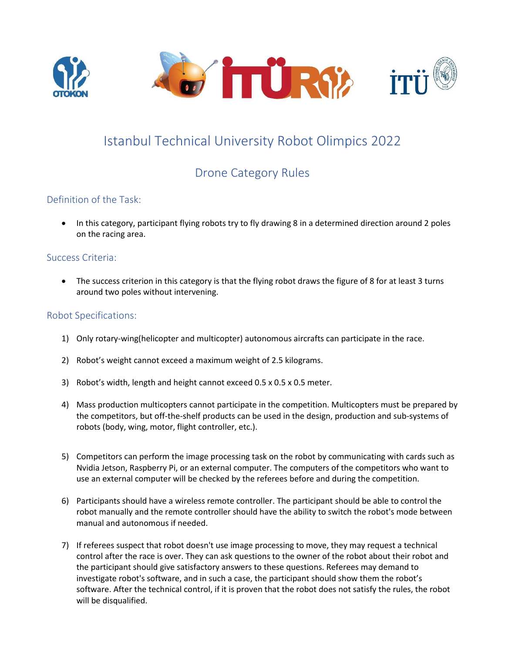

# Istanbul Technical University Robot Olimpics 2022

# Drone Category Rules

# Definition of the Task:

• In this category, participant flying robots try to fly drawing 8 in a determined direction around 2 poles on the racing area.

# Success Criteria:

• The success criterion in this category is that the flying robot draws the figure of 8 for at least 3 turns around two poles without intervening.

# Robot Specifications:

- 1) Only rotary-wing(helicopter and multicopter) autonomous aircrafts can participate in the race.
- 2) Robot's weight cannot exceed a maximum weight of 2.5 kilograms.
- 3) Robot's width, length and height cannot exceed 0.5 x 0.5 x 0.5 meter.
- 4) Mass production multicopters cannot participate in the competition. Multicopters must be prepared by the competitors, but off-the-shelf products can be used in the design, production and sub-systems of robots (body, wing, motor, flight controller, etc.).
- 5) Competitors can perform the image processing task on the robot by communicating with cards such as Nvidia Jetson, Raspberry Pi, or an external computer. The computers of the competitors who want to use an external computer will be checked by the referees before and during the competition.
- 6) Participants should have a wireless remote controller. The participant should be able to control the robot manually and the remote controller should have the ability to switch the robot's mode between manual and autonomous if needed.
- 7) If referees suspect that robot doesn't use image processing to move, they may request a technical control after the race is over. They can ask questions to the owner of the robot about their robot and the participant should give satisfactory answers to these questions. Referees may demand to investigate robot's software, and in such a case, the participant should show them the robot's software. After the technical control, if it is proven that the robot does not satisfy the rules, the robot will be disqualified.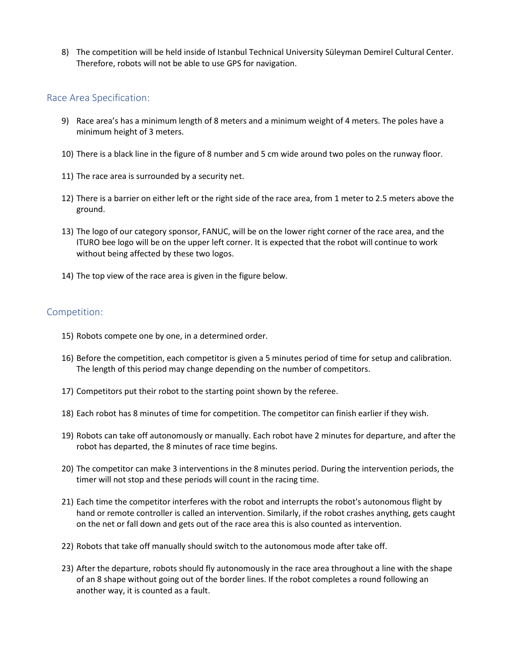8) The competition will be held inside of Istanbul Technical University Süleyman Demirel Cultural Center. Therefore, robots will not be able to use GPS for navigation.

### Race Area Specification:

- 9) Race area's has a minimum length of 8 meters and a minimum weight of 4 meters. The poles have a minimum height of 3 meters.
- 10) There is a black line in the figure of 8 number and 5 cm wide around two poles on the runway floor.
- 11) The race area is surrounded by a security net.
- 12) There is a barrier on either left or the right side of the race area, from 1 meter to 2.5 meters above the ground.
- 13) The logo of our category sponsor, FANUC, will be on the lower right corner of the race area, and the ITURO bee logo will be on the upper left corner. It is expected that the robot will continue to work without being affected by these two logos.
- 14) The top view of the race area is given in the figure below.

#### Competition:

- 15) Robots compete one by one, in a determined order.
- 16) Before the competition, each competitor is given a 5 minutes period of time for setup and calibration. The length of this period may change depending on the number of competitors.
- 17) Competitors put their robot to the starting point shown by the referee.
- 18) Each robot has 8 minutes of time for competition. The competitor can finish earlier if they wish.
- 19) Robots can take off autonomously or manually. Each robot have 2 minutes for departure, and after the robot has departed, the 8 minutes of race time begins.
- 20) The competitor can make 3 interventions in the 8 minutes period. During the intervention periods, the timer will not stop and these periods will count in the racing time.
- 21) Each time the competitor interferes with the robot and interrupts the robot's autonomous flight by hand or remote controller is called an intervention. Similarly, if the robot crashes anything, gets caught on the net or fall down and gets out of the race area this is also counted as intervention.
- 22) Robots that take off manually should switch to the autonomous mode after take off.
- 23) After the departure, robots should fly autonomously in the race area throughout a line with the shape of an 8 shape without going out of the border lines. If the robot completes a round following an another way, it is counted as a fault.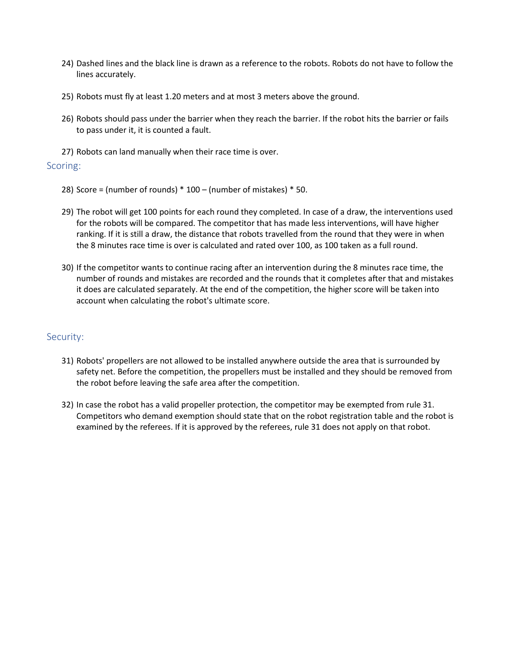- 24) Dashed lines and the black line is drawn as a reference to the robots. Robots do not have to follow the lines accurately.
- 25) Robots must fly at least 1.20 meters and at most 3 meters above the ground.
- 26) Robots should pass under the barrier when they reach the barrier. If the robot hits the barrier or fails to pass under it, it is counted a fault.
- 27) Robots can land manually when their race time is over.

### Scoring:

- 28) Score = (number of rounds) \* 100 (number of mistakes) \* 50.
- 29) The robot will get 100 points for each round they completed. In case of a draw, the interventions used for the robots will be compared. The competitor that has made less interventions, will have higher ranking. If it is still a draw, the distance that robots travelled from the round that they were in when the 8 minutes race time is over is calculated and rated over 100, as 100 taken as a full round.
- 30) If the competitor wants to continue racing after an intervention during the 8 minutes race time, the number of rounds and mistakes are recorded and the rounds that it completes after that and mistakes it does are calculated separately. At the end of the competition, the higher score will be taken into account when calculating the robot's ultimate score.

### Security:

- 31) Robots' propellers are not allowed to be installed anywhere outside the area that is surrounded by safety net. Before the competition, the propellers must be installed and they should be removed from the robot before leaving the safe area after the competition.
- 32) In case the robot has a valid propeller protection, the competitor may be exempted from rule 31. Competitors who demand exemption should state that on the robot registration table and the robot is examined by the referees. If it is approved by the referees, rule 31 does not apply on that robot.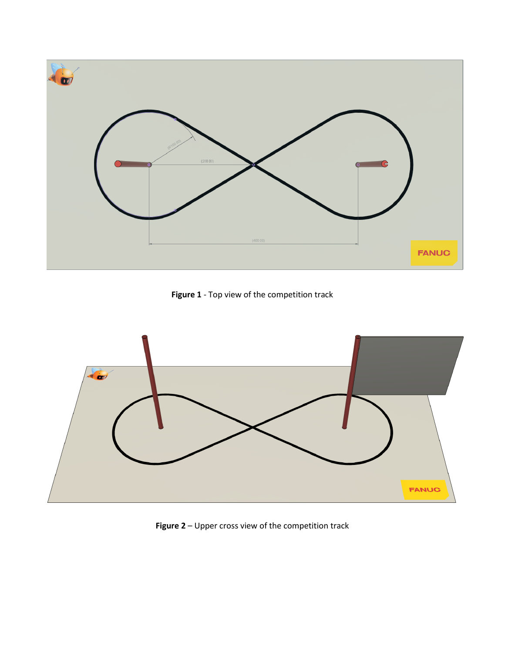

**Figure 1** - Top view of the competition track



**Figure 2** – Upper cross view of the competition track